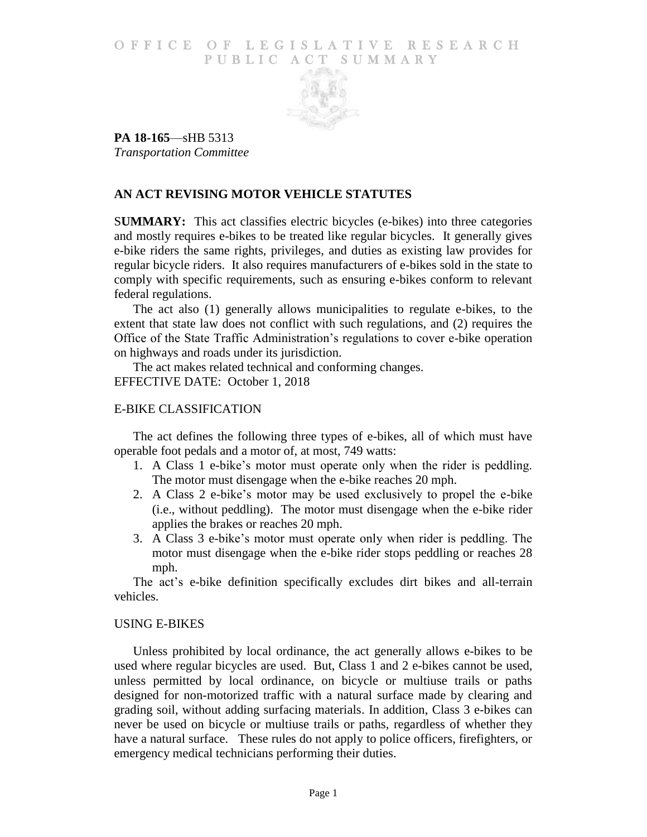### O F FICE OF LEGISLATIVE RESEARCH PUBLIC ACT SUMMARY



**PA 18-165**—sHB 5313 *Transportation Committee*

# **AN ACT REVISING MOTOR VEHICLE STATUTES**

S**UMMARY:** This act classifies electric bicycles (e-bikes) into three categories and mostly requires e-bikes to be treated like regular bicycles. It generally gives e-bike riders the same rights, privileges, and duties as existing law provides for regular bicycle riders. It also requires manufacturers of e-bikes sold in the state to comply with specific requirements, such as ensuring e-bikes conform to relevant federal regulations.

The act also (1) generally allows municipalities to regulate e-bikes, to the extent that state law does not conflict with such regulations, and (2) requires the Office of the State Traffic Administration's regulations to cover e-bike operation on highways and roads under its jurisdiction.

The act makes related technical and conforming changes. EFFECTIVE DATE: October 1, 2018

## E-BIKE CLASSIFICATION

The act defines the following three types of e-bikes, all of which must have operable foot pedals and a motor of, at most, 749 watts:

- 1. A Class 1 e-bike's motor must operate only when the rider is peddling. The motor must disengage when the e-bike reaches 20 mph.
- 2. A Class 2 e-bike's motor may be used exclusively to propel the e-bike (i.e., without peddling). The motor must disengage when the e-bike rider applies the brakes or reaches 20 mph.
- 3. A Class 3 e-bike's motor must operate only when rider is peddling. The motor must disengage when the e-bike rider stops peddling or reaches 28 mph.

The act's e-bike definition specifically excludes dirt bikes and all-terrain vehicles.

## USING E-BIKES

Unless prohibited by local ordinance, the act generally allows e-bikes to be used where regular bicycles are used. But, Class 1 and 2 e-bikes cannot be used, unless permitted by local ordinance, on bicycle or multiuse trails or paths designed for non-motorized traffic with a natural surface made by clearing and grading soil, without adding surfacing materials. In addition, Class 3 e-bikes can never be used on bicycle or multiuse trails or paths, regardless of whether they have a natural surface. These rules do not apply to police officers, firefighters, or emergency medical technicians performing their duties.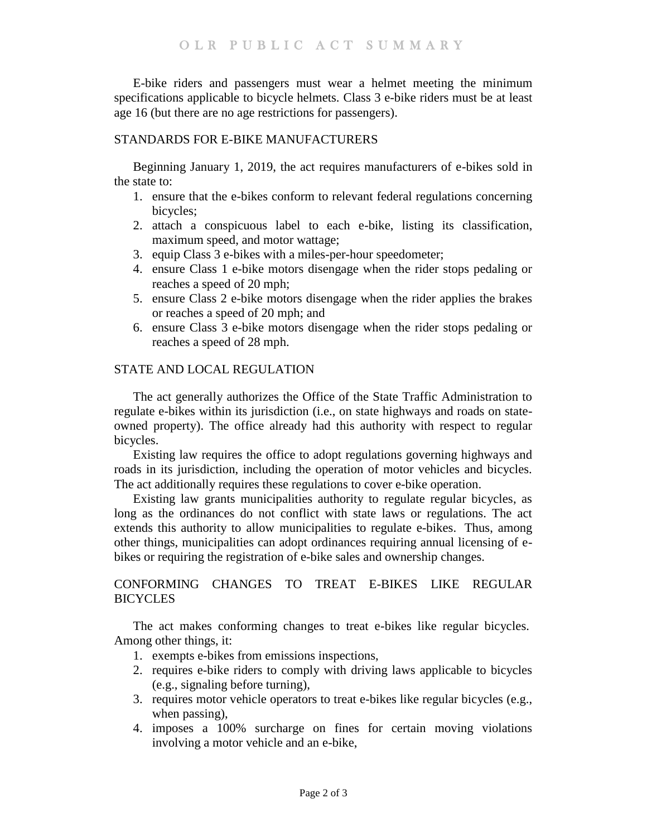E-bike riders and passengers must wear a helmet meeting the minimum specifications applicable to bicycle helmets. Class 3 e-bike riders must be at least age 16 (but there are no age restrictions for passengers).

## STANDARDS FOR E-BIKE MANUFACTURERS

Beginning January 1, 2019, the act requires manufacturers of e-bikes sold in the state to:

- 1. ensure that the e-bikes conform to relevant federal regulations concerning bicycles;
- 2. attach a conspicuous label to each e-bike, listing its classification, maximum speed, and motor wattage;
- 3. equip Class 3 e-bikes with a miles-per-hour speedometer;
- 4. ensure Class 1 e-bike motors disengage when the rider stops pedaling or reaches a speed of 20 mph;
- 5. ensure Class 2 e-bike motors disengage when the rider applies the brakes or reaches a speed of 20 mph; and
- 6. ensure Class 3 e-bike motors disengage when the rider stops pedaling or reaches a speed of 28 mph.

## STATE AND LOCAL REGULATION

The act generally authorizes the Office of the State Traffic Administration to regulate e-bikes within its jurisdiction (i.e., on state highways and roads on stateowned property). The office already had this authority with respect to regular bicycles.

Existing law requires the office to adopt regulations governing highways and roads in its jurisdiction, including the operation of motor vehicles and bicycles. The act additionally requires these regulations to cover e-bike operation.

Existing law grants municipalities authority to regulate regular bicycles, as long as the ordinances do not conflict with state laws or regulations. The act extends this authority to allow municipalities to regulate e-bikes. Thus, among other things, municipalities can adopt ordinances requiring annual licensing of ebikes or requiring the registration of e-bike sales and ownership changes.

# CONFORMING CHANGES TO TREAT E-BIKES LIKE REGULAR **BICYCLES**

The act makes conforming changes to treat e-bikes like regular bicycles. Among other things, it:

- 1. exempts e-bikes from emissions inspections,
- 2. requires e-bike riders to comply with driving laws applicable to bicycles (e.g., signaling before turning),
- 3. requires motor vehicle operators to treat e-bikes like regular bicycles (e.g., when passing),
- 4. imposes a 100% surcharge on fines for certain moving violations involving a motor vehicle and an e-bike,